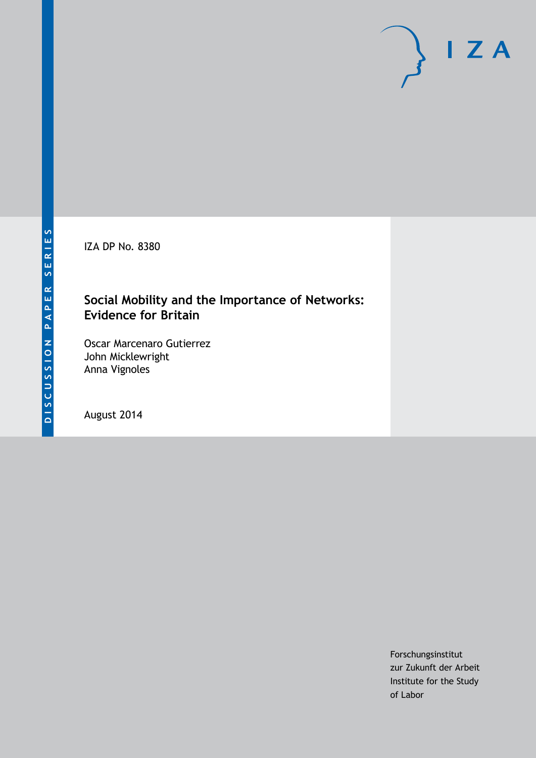IZA DP No. 8380

# **Social Mobility and the Importance of Networks: Evidence for Britain**

Oscar Marcenaro Gutierrez John Micklewright Anna Vignoles

August 2014

Forschungsinstitut zur Zukunft der Arbeit Institute for the Study of Labor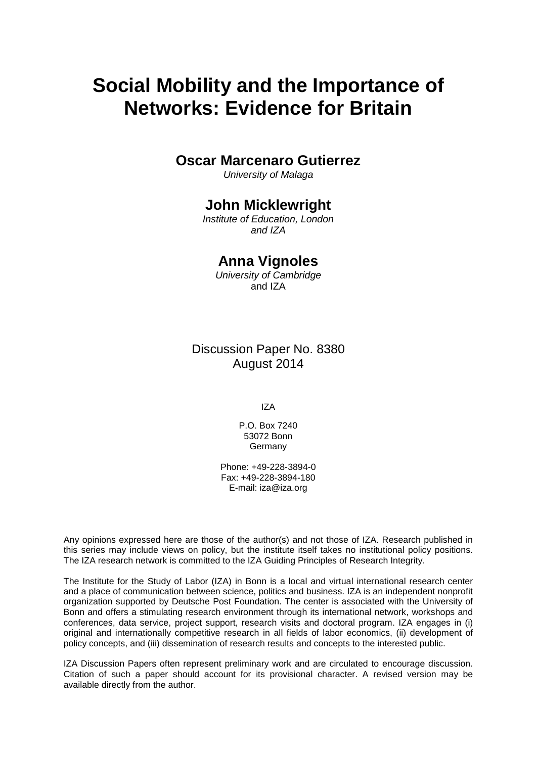# **Social Mobility and the Importance of Networks: Evidence for Britain**

### **Oscar Marcenaro Gutierrez**

*University of Malaga*

# **John Micklewright**

*Institute of Education, London and IZA*

# **Anna Vignoles**

*University of Cambridge* and IZA

Discussion Paper No. 8380 August 2014

IZA

P.O. Box 7240 53072 Bonn Germany

Phone: +49-228-3894-0 Fax: +49-228-3894-180 E-mail: [iza@iza.org](mailto:iza@iza.org)

Any opinions expressed here are those of the author(s) and not those of IZA. Research published in this series may include views on policy, but the institute itself takes no institutional policy positions. The IZA research network is committed to the IZA Guiding Principles of Research Integrity.

The Institute for the Study of Labor (IZA) in Bonn is a local and virtual international research center and a place of communication between science, politics and business. IZA is an independent nonprofit organization supported by Deutsche Post Foundation. The center is associated with the University of Bonn and offers a stimulating research environment through its international network, workshops and conferences, data service, project support, research visits and doctoral program. IZA engages in (i) original and internationally competitive research in all fields of labor economics, (ii) development of policy concepts, and (iii) dissemination of research results and concepts to the interested public.

<span id="page-1-0"></span>IZA Discussion Papers often represent preliminary work and are circulated to encourage discussion. Citation of such a paper should account for its provisional character. A revised version may be available directly from the author.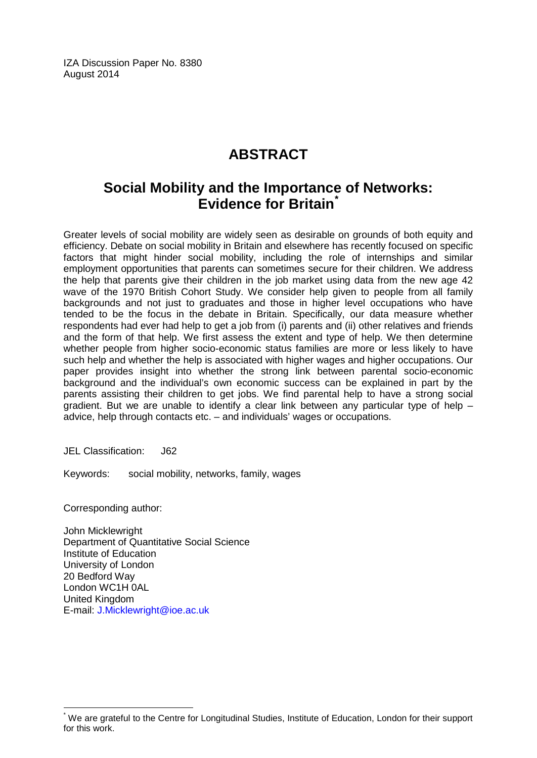IZA Discussion Paper No. 8380 August 2014

# **ABSTRACT**

# **Social Mobility and the Importance of Networks: Evidence for Britain[\\*](#page-1-0)**

Greater levels of social mobility are widely seen as desirable on grounds of both equity and efficiency. Debate on social mobility in Britain and elsewhere has recently focused on specific factors that might hinder social mobility, including the role of internships and similar employment opportunities that parents can sometimes secure for their children. We address the help that parents give their children in the job market using data from the new age 42 wave of the 1970 British Cohort Study. We consider help given to people from all family backgrounds and not just to graduates and those in higher level occupations who have tended to be the focus in the debate in Britain. Specifically, our data measure whether respondents had ever had help to get a job from (i) parents and (ii) other relatives and friends and the form of that help. We first assess the extent and type of help. We then determine whether people from higher socio-economic status families are more or less likely to have such help and whether the help is associated with higher wages and higher occupations. Our paper provides insight into whether the strong link between parental socio-economic background and the individual's own economic success can be explained in part by the parents assisting their children to get jobs. We find parental help to have a strong social gradient. But we are unable to identify a clear link between any particular type of help  $$ advice, help through contacts etc. – and individuals' wages or occupations.

JEL Classification: J62

Keywords: social mobility, networks, family, wages

Corresponding author:

John Micklewright Department of Quantitative Social Science Institute of Education University of London 20 Bedford Way London WC1H 0AL United Kingdom E-mail: [J.Micklewright@ioe.ac.uk](mailto:J.Micklewright@ioe.ac.uk)

We are grateful to the Centre for Longitudinal Studies, Institute of Education, London for their support for this work.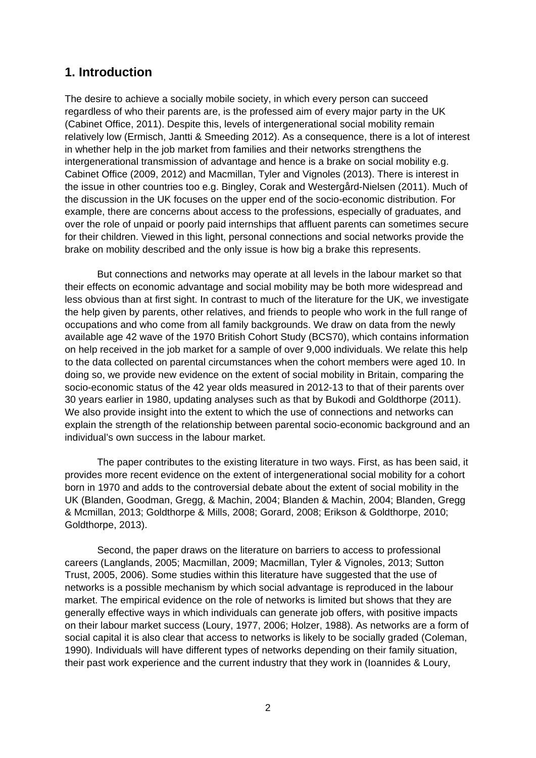# **1. Introduction**

The desire to achieve a socially mobile society, in which every person can succeed regardless of who their parents are, is the professed aim of every major party in the UK (Cabinet Office, 2011). Despite this, levels of intergenerational social mobility remain relatively low (Ermisch, Jantti & Smeeding 2012). As a consequence, there is a lot of interest in whether help in the job market from families and their networks strengthens the intergenerational transmission of advantage and hence is a brake on social mobility e.g. Cabinet Office (2009, 2012) and Macmillan, Tyler and Vignoles (2013). There is interest in the issue in other countries too e.g. Bingley, Corak and Westergård-Nielsen (2011). Much of the discussion in the UK focuses on the upper end of the socio-economic distribution. For example, there are concerns about access to the professions, especially of graduates, and over the role of unpaid or poorly paid internships that affluent parents can sometimes secure for their children. Viewed in this light, personal connections and social networks provide the brake on mobility described and the only issue is how big a brake this represents.

But connections and networks may operate at all levels in the labour market so that their effects on economic advantage and social mobility may be both more widespread and less obvious than at first sight. In contrast to much of the literature for the UK, we investigate the help given by parents, other relatives, and friends to people who work in the full range of occupations and who come from all family backgrounds. We draw on data from the newly available age 42 wave of the 1970 British Cohort Study (BCS70), which contains information on help received in the job market for a sample of over 9,000 individuals. We relate this help to the data collected on parental circumstances when the cohort members were aged 10. In doing so, we provide new evidence on the extent of social mobility in Britain, comparing the socio-economic status of the 42 year olds measured in 2012-13 to that of their parents over 30 years earlier in 1980, updating analyses such as that by Bukodi and Goldthorpe (2011). We also provide insight into the extent to which the use of connections and networks can explain the strength of the relationship between parental socio-economic background and an individual's own success in the labour market.

The paper contributes to the existing literature in two ways. First, as has been said, it provides more recent evidence on the extent of intergenerational social mobility for a cohort born in 1970 and adds to the controversial debate about the extent of social mobility in the UK (Blanden, Goodman, Gregg, & Machin, 2004; Blanden & Machin, 2004; Blanden, Gregg & Mcmillan, 2013; Goldthorpe & Mills, 2008; Gorard, 2008; Erikson & Goldthorpe, 2010; Goldthorpe, 2013).

Second, the paper draws on the literature on barriers to access to professional careers (Langlands, 2005; Macmillan, 2009; Macmillan, Tyler & Vignoles, 2013; Sutton Trust, 2005, 2006). Some studies within this literature have suggested that the use of networks is a possible mechanism by which social advantage is reproduced in the labour market. The empirical evidence on the role of networks is limited but shows that they are generally effective ways in which individuals can generate job offers, with positive impacts on their labour market success (Loury, 1977, 2006; Holzer, 1988). As networks are a form of social capital it is also clear that access to networks is likely to be socially graded (Coleman, 1990). Individuals will have different types of networks depending on their family situation, their past work experience and the current industry that they work in (Ioannides & Loury,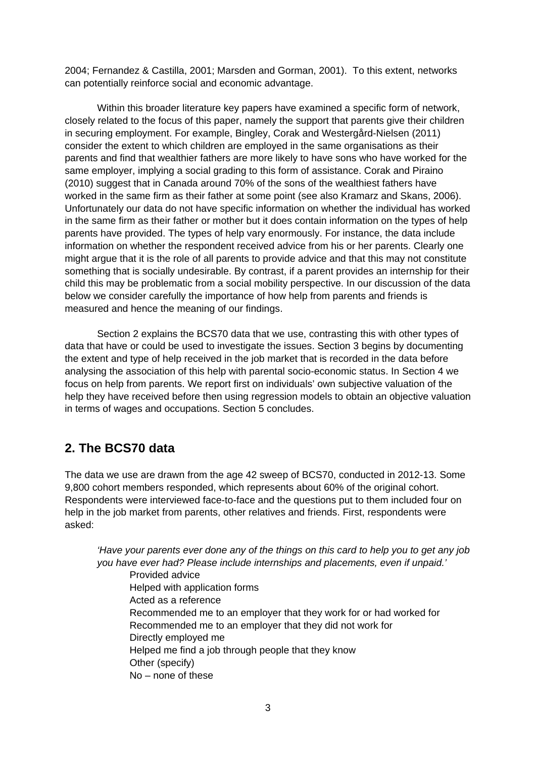2004; Fernandez & Castilla, 2001; Marsden and Gorman, 2001). To this extent, networks can potentially reinforce social and economic advantage.

Within this broader literature key papers have examined a specific form of network, closely related to the focus of this paper, namely the support that parents give their children in securing employment. For example, Bingley, Corak and Westergård-Nielsen (2011) consider the extent to which children are employed in the same organisations as their parents and find that wealthier fathers are more likely to have sons who have worked for the same employer, implying a social grading to this form of assistance. Corak and Piraino (2010) suggest that in Canada around 70% of the sons of the wealthiest fathers have worked in the same firm as their father at some point (see also Kramarz and Skans, 2006). Unfortunately our data do not have specific information on whether the individual has worked in the same firm as their father or mother but it does contain information on the types of help parents have provided. The types of help vary enormously. For instance, the data include information on whether the respondent received advice from his or her parents. Clearly one might argue that it is the role of all parents to provide advice and that this may not constitute something that is socially undesirable. By contrast, if a parent provides an internship for their child this may be problematic from a social mobility perspective. In our discussion of the data below we consider carefully the importance of how help from parents and friends is measured and hence the meaning of our findings.

Section 2 explains the BCS70 data that we use, contrasting this with other types of data that have or could be used to investigate the issues. Section 3 begins by documenting the extent and type of help received in the job market that is recorded in the data before analysing the association of this help with parental socio-economic status. In Section 4 we focus on help from parents. We report first on individuals' own subjective valuation of the help they have received before then using regression models to obtain an objective valuation in terms of wages and occupations. Section 5 concludes.

# **2. The BCS70 data**

The data we use are drawn from the age 42 sweep of BCS70, conducted in 2012-13. Some 9,800 cohort members responded, which represents about 60% of the original cohort. Respondents were interviewed face-to-face and the questions put to them included four on help in the job market from parents, other relatives and friends. First, respondents were asked:

*'Have your parents ever done any of the things on this card to help you to get any job you have ever had? Please include internships and placements, even if unpaid.'* Provided advice Helped with application forms Acted as a reference Recommended me to an employer that they work for or had worked for Recommended me to an employer that they did not work for Directly employed me Helped me find a job through people that they know Other (specify) No – none of these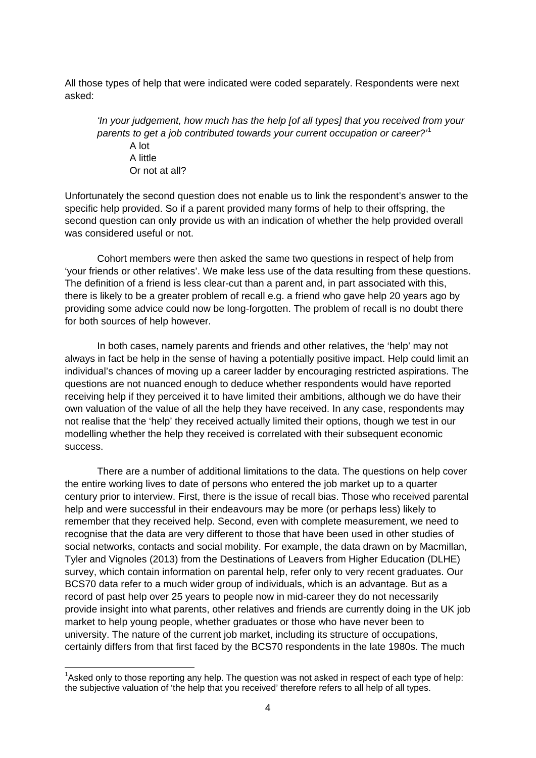All those types of help that were indicated were coded separately. Respondents were next asked:

*'In your judgement, how much has the help [of all types] that you received from your parents to get a job contributed towards your current occupation or career?'*[1](#page-11-0) A lot A little Or not at all?

Unfortunately the second question does not enable us to link the respondent's answer to the specific help provided. So if a parent provided many forms of help to their offspring, the second question can only provide us with an indication of whether the help provided overall was considered useful or not.

Cohort members were then asked the same two questions in respect of help from 'your friends or other relatives'. We make less use of the data resulting from these questions. The definition of a friend is less clear-cut than a parent and, in part associated with this, there is likely to be a greater problem of recall e.g. a friend who gave help 20 years ago by providing some advice could now be long-forgotten. The problem of recall is no doubt there for both sources of help however.

In both cases, namely parents and friends and other relatives, the 'help' may not always in fact be help in the sense of having a potentially positive impact. Help could limit an individual's chances of moving up a career ladder by encouraging restricted aspirations. The questions are not nuanced enough to deduce whether respondents would have reported receiving help if they perceived it to have limited their ambitions, although we do have their own valuation of the value of all the help they have received. In any case, respondents may not realise that the 'help' they received actually limited their options, though we test in our modelling whether the help they received is correlated with their subsequent economic success.

There are a number of additional limitations to the data. The questions on help cover the entire working lives to date of persons who entered the job market up to a quarter century prior to interview. First, there is the issue of recall bias. Those who received parental help and were successful in their endeavours may be more (or perhaps less) likely to remember that they received help. Second, even with complete measurement, we need to recognise that the data are very different to those that have been used in other studies of social networks, contacts and social mobility. For example, the data drawn on by Macmillan, Tyler and Vignoles (2013) from the Destinations of Leavers from Higher Education (DLHE) survey, which contain information on parental help, refer only to very recent graduates. Our BCS70 data refer to a much wider group of individuals, which is an advantage. But as a record of past help over 25 years to people now in mid-career they do not necessarily provide insight into what parents, other relatives and friends are currently doing in the UK job market to help young people, whether graduates or those who have never been to university. The nature of the current job market, including its structure of occupations, certainly differs from that first faced by the BCS70 respondents in the late 1980s. The much

<span id="page-5-0"></span>1 Asked only to those reporting any help. The question was not asked in respect of each type of help: the subjective valuation of 'the help that you received' therefore refers to all help of all types.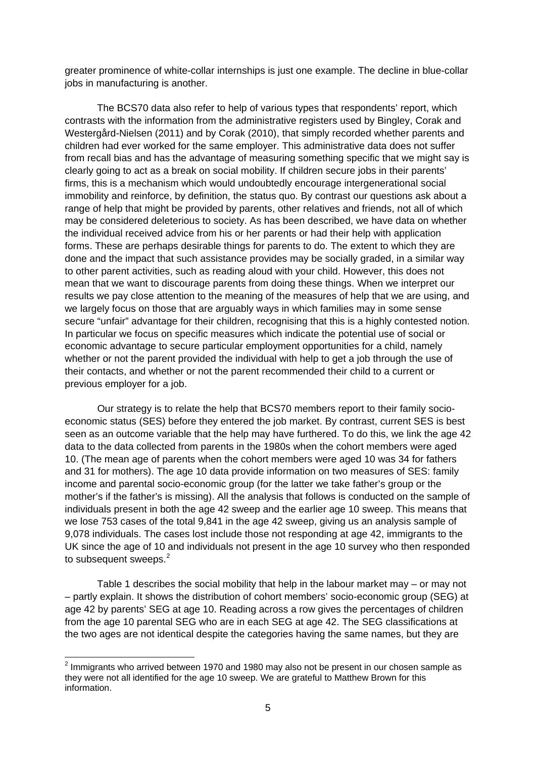greater prominence of white-collar internships is just one example. The decline in blue-collar jobs in manufacturing is another.

The BCS70 data also refer to help of various types that respondents' report, which contrasts with the information from the administrative registers used by Bingley, Corak and Westergård-Nielsen (2011) and by Corak (2010), that simply recorded whether parents and children had ever worked for the same employer. This administrative data does not suffer from recall bias and has the advantage of measuring something specific that we might say is clearly going to act as a break on social mobility. If children secure jobs in their parents' firms, this is a mechanism which would undoubtedly encourage intergenerational social immobility and reinforce, by definition, the status quo. By contrast our questions ask about a range of help that might be provided by parents, other relatives and friends, not all of which may be considered deleterious to society. As has been described, we have data on whether the individual received advice from his or her parents or had their help with application forms. These are perhaps desirable things for parents to do. The extent to which they are done and the impact that such assistance provides may be socially graded, in a similar way to other parent activities, such as reading aloud with your child. However, this does not mean that we want to discourage parents from doing these things. When we interpret our results we pay close attention to the meaning of the measures of help that we are using, and we largely focus on those that are arguably ways in which families may in some sense secure "unfair" advantage for their children, recognising that this is a highly contested notion. In particular we focus on specific measures which indicate the potential use of social or economic advantage to secure particular employment opportunities for a child, namely whether or not the parent provided the individual with help to get a job through the use of their contacts, and whether or not the parent recommended their child to a current or previous employer for a job.

Our strategy is to relate the help that BCS70 members report to their family socioeconomic status (SES) before they entered the job market. By contrast, current SES is best seen as an outcome variable that the help may have furthered. To do this, we link the age 42 data to the data collected from parents in the 1980s when the cohort members were aged 10. (The mean age of parents when the cohort members were aged 10 was 34 for fathers and 31 for mothers). The age 10 data provide information on two measures of SES: family income and parental socio-economic group (for the latter we take father's group or the mother's if the father's is missing). All the analysis that follows is conducted on the sample of individuals present in both the age 42 sweep and the earlier age 10 sweep. This means that we lose 753 cases of the total 9,841 in the age 42 sweep, giving us an analysis sample of 9,078 individuals. The cases lost include those not responding at age 42, immigrants to the UK since the age of 10 and individuals not present in the age 10 survey who then responded to subsequent sweeps.<sup>[2](#page-5-0)</sup>

Table 1 describes the social mobility that help in the labour market may – or may not – partly explain. It shows the distribution of cohort members' socio-economic group (SEG) at age 42 by parents' SEG at age 10. Reading across a row gives the percentages of children from the age 10 parental SEG who are in each SEG at age 42. The SEG classifications at the two ages are not identical despite the categories having the same names, but they are

<span id="page-6-0"></span> $<sup>2</sup>$  Immigrants who arrived between 1970 and 1980 may also not be present in our chosen sample as</sup> they were not all identified for the age 10 sweep. We are grateful to Matthew Brown for this information.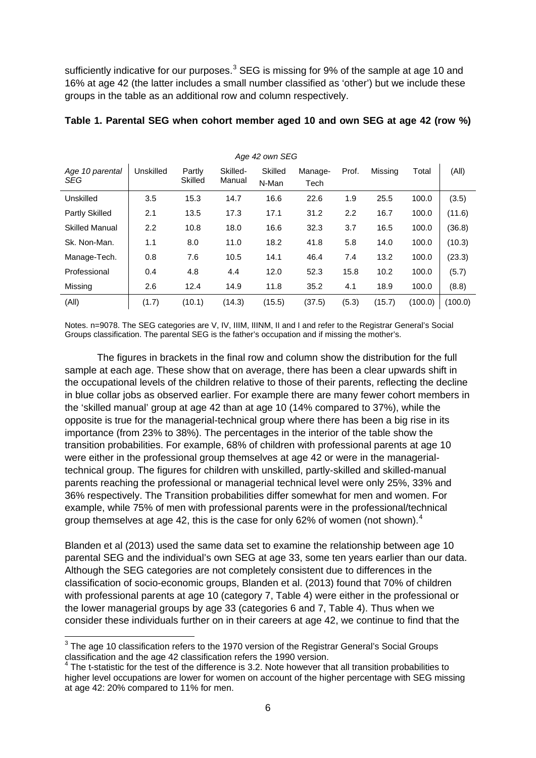sufficiently indicative for our purposes.<sup>[3](#page-6-0)</sup> SEG is missing for 9% of the sample at age 10 and 16% at age 42 (the latter includes a small number classified as 'other') but we include these groups in the table as an additional row and column respectively.

| Age 42 own SEG         |                  |                   |                    |                  |                 |       |         |         |         |
|------------------------|------------------|-------------------|--------------------|------------------|-----------------|-------|---------|---------|---------|
| Age 10 parental<br>SEG | Unskilled        | Partly<br>Skilled | Skilled-<br>Manual | Skilled<br>N-Man | Manage-<br>Tech | Prof. | Missing | Total   | (All)   |
| Unskilled              | 3.5              | 15.3              | 14.7               | 16.6             | 22.6            | 1.9   | 25.5    | 100.0   | (3.5)   |
| Partly Skilled         | 2.1              | 13.5              | 17.3               | 17.1             | 31.2            | 2.2   | 16.7    | 100.0   | (11.6)  |
| <b>Skilled Manual</b>  | $2.2\phantom{0}$ | 10.8              | 18.0               | 16.6             | 32.3            | 3.7   | 16.5    | 100.0   | (36.8)  |
| Sk. Non-Man.           | 1.1              | 8.0               | 11.0               | 18.2             | 41.8            | 5.8   | 14.0    | 100.0   | (10.3)  |
| Manage-Tech.           | 0.8              | 7.6               | 10.5               | 14.1             | 46.4            | 7.4   | 13.2    | 100.0   | (23.3)  |
| Professional           | 0.4              | 4.8               | 4.4                | 12.0             | 52.3            | 15.8  | 10.2    | 100.0   | (5.7)   |
| Missing                | 2.6              | 12.4              | 14.9               | 11.8             | 35.2            | 4.1   | 18.9    | 100.0   | (8.8)   |
| (AII)                  | (1.7)            | (10.1)            | (14.3)             | (15.5)           | (37.5)          | (5.3) | (15.7)  | (100.0) | (100.0) |

#### **Table 1. Parental SEG when cohort member aged 10 and own SEG at age 42 (row %)**

Notes. n=9078. The SEG categories are V, IV, IIIM, IIINM, II and I and refer to the Registrar General's Social Groups classification. The parental SEG is the father's occupation and if missing the mother's.

The figures in brackets in the final row and column show the distribution for the full sample at each age. These show that on average, there has been a clear upwards shift in the occupational levels of the children relative to those of their parents, reflecting the decline in blue collar jobs as observed earlier. For example there are many fewer cohort members in the 'skilled manual' group at age 42 than at age 10 (14% compared to 37%), while the opposite is true for the managerial-technical group where there has been a big rise in its importance (from 23% to 38%). The percentages in the interior of the table show the transition probabilities. For example, 68% of children with professional parents at age 10 were either in the professional group themselves at age 42 or were in the managerialtechnical group. The figures for children with unskilled, partly-skilled and skilled-manual parents reaching the professional or managerial technical level were only 25%, 33% and 36% respectively. The Transition probabilities differ somewhat for men and women. For example, while 75% of men with professional parents were in the professional/technical group themselves at age [4](#page-7-0)2, this is the case for only 62% of women (not shown).<sup>4</sup>

Blanden et al (2013) used the same data set to examine the relationship between age 10 parental SEG and the individual's own SEG at age 33, some ten years earlier than our data. Although the SEG categories are not completely consistent due to differences in the classification of socio-economic groups, Blanden et al. (2013) found that 70% of children with professional parents at age 10 (category 7, Table 4) were either in the professional or the lower managerial groups by age 33 (categories 6 and 7, Table 4). Thus when we consider these individuals further on in their careers at age 42, we continue to find that the

 $3$  The age 10 classification refers to the 1970 version of the Registrar General's Social Groups classification and the age 42 classification refers the 1990 version.

<span id="page-7-0"></span><sup>4</sup> The t-statistic for the test of the difference is 3.2. Note however that all transition probabilities to higher level occupations are lower for women on account of the higher percentage with SEG missing at age 42: 20% compared to 11% for men.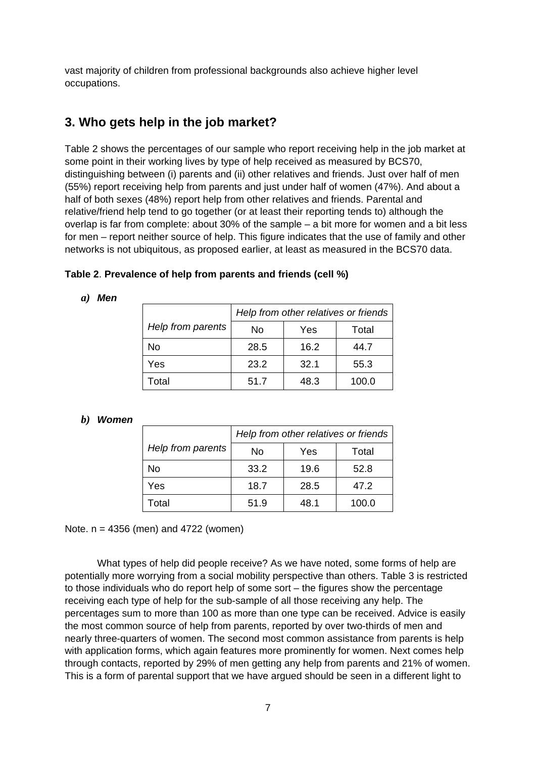vast majority of children from professional backgrounds also achieve higher level occupations.

## **3. Who gets help in the job market?**

Table 2 shows the percentages of our sample who report receiving help in the job market at some point in their working lives by type of help received as measured by BCS70, distinguishing between (i) parents and (ii) other relatives and friends. Just over half of men (55%) report receiving help from parents and just under half of women (47%). And about a half of both sexes (48%) report help from other relatives and friends. Parental and relative/friend help tend to go together (or at least their reporting tends to) although the overlap is far from complete: about 30% of the sample – a bit more for women and a bit less for men – report neither source of help. This figure indicates that the use of family and other networks is not ubiquitous, as proposed earlier, at least as measured in the BCS70 data.

| Table 2. Prevalence of help from parents and friends (cell %) |  |  |
|---------------------------------------------------------------|--|--|
|---------------------------------------------------------------|--|--|

#### *a) Men*

|                   | Help from other relatives or friends |      |       |  |
|-------------------|--------------------------------------|------|-------|--|
| Help from parents | No                                   | Yes  | Total |  |
| No                | 28.5                                 | 16.2 | 44.7  |  |
| Yes               | 23.2                                 | 32.1 | 55.3  |  |
| Total             | 51.7                                 | 48.3 | 100.0 |  |

#### *b) Women*

|                   | Help from other relatives or friends |      |       |  |  |
|-------------------|--------------------------------------|------|-------|--|--|
| Help from parents | No                                   | Yes  | Total |  |  |
| No                | 33.2                                 | 19.6 | 52.8  |  |  |
| Yes               | 18.7                                 | 28.5 | 47.2  |  |  |
| Total             | 51.9                                 | 48.1 | 100.0 |  |  |

Note. n = 4356 (men) and 4722 (women)

What types of help did people receive? As we have noted, some forms of help are potentially more worrying from a social mobility perspective than others. Table 3 is restricted to those individuals who do report help of some sort – the figures show the percentage receiving each type of help for the sub-sample of all those receiving any help. The percentages sum to more than 100 as more than one type can be received. Advice is easily the most common source of help from parents, reported by over two-thirds of men and nearly three-quarters of women. The second most common assistance from parents is help with application forms, which again features more prominently for women. Next comes help through contacts, reported by 29% of men getting any help from parents and 21% of women. This is a form of parental support that we have argued should be seen in a different light to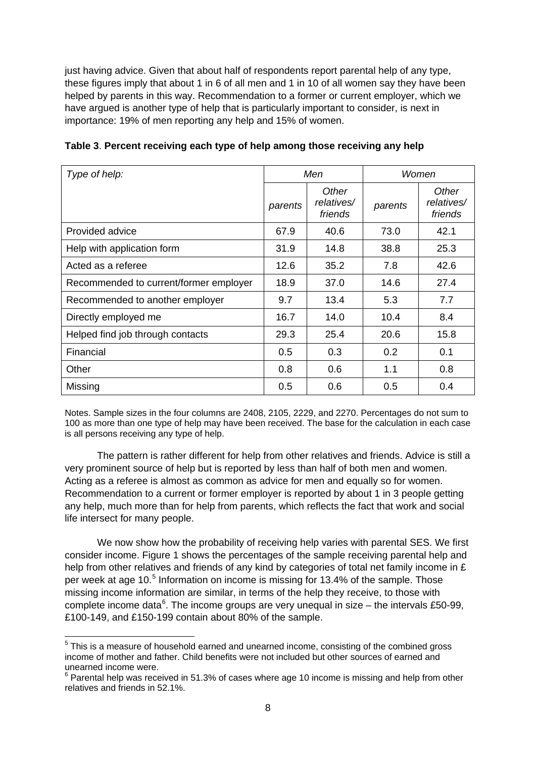just having advice. Given that about half of respondents report parental help of any type, these figures imply that about 1 in 6 of all men and 1 in 10 of all women say they have been helped by parents in this way. Recommendation to a former or current employer, which we have argued is another type of help that is particularly important to consider, is next in importance: 19% of men reporting any help and 15% of women.

| Type of help:                          |         | Men                            | Women   |                                |
|----------------------------------------|---------|--------------------------------|---------|--------------------------------|
|                                        | parents | Other<br>relatives/<br>friends | parents | Other<br>relatives/<br>friends |
| Provided advice                        | 67.9    | 40.6                           | 73.0    | 42.1                           |
| Help with application form             | 31.9    | 14.8                           | 38.8    | 25.3                           |
| Acted as a referee                     | 12.6    | 35.2                           | 7.8     | 42.6                           |
| Recommended to current/former employer | 18.9    | 37.0                           | 14.6    | 27.4                           |
| Recommended to another employer        | 9.7     | 13.4                           | 5.3     | 7.7                            |
| Directly employed me                   | 16.7    | 14.0                           | 10.4    | 8.4                            |
| Helped find job through contacts       | 29.3    | 25.4                           | 20.6    | 15.8                           |
| Financial                              | 0.5     | 0.3                            | 0.2     | 0.1                            |
| Other                                  | 0.8     | 0.6                            | 1.1     | 0.8                            |
| Missing                                | 0.5     | 0.6                            | 0.5     | 0.4                            |

**Table 3**. **Percent receiving each type of help among those receiving any help**

Notes. Sample sizes in the four columns are 2408, 2105, 2229, and 2270. Percentages do not sum to 100 as more than one type of help may have been received. The base for the calculation in each case is all persons receiving any type of help.

The pattern is rather different for help from other relatives and friends. Advice is still a very prominent source of help but is reported by less than half of both men and women. Acting as a referee is almost as common as advice for men and equally so for women. Recommendation to a current or former employer is reported by about 1 in 3 people getting any help, much more than for help from parents, which reflects the fact that work and social life intersect for many people.

We now show how the probability of receiving help varies with parental SES. We first consider income. Figure 1 shows the percentages of the sample receiving parental help and help from other relatives and friends of any kind by categories of total net family income in £ per week at age 10.<sup>[5](#page-7-0)</sup> Information on income is missing for 13.4% of the sample. Those missing income information are similar, in terms of the help they receive, to those with complete income data<sup>[6](#page-9-0)</sup>. The income groups are very unequal in size – the intervals £50-99, £100-149, and £150-199 contain about 80% of the sample.

<span id="page-9-0"></span> $5$  This is a measure of household earned and unearned income, consisting of the combined gross income of mother and father. Child benefits were not included but other sources of earned and unearned income were.

<sup>&</sup>lt;sup>6</sup> Parental help was received in 51.3% of cases where age 10 income is missing and help from other relatives and friends in 52.1%.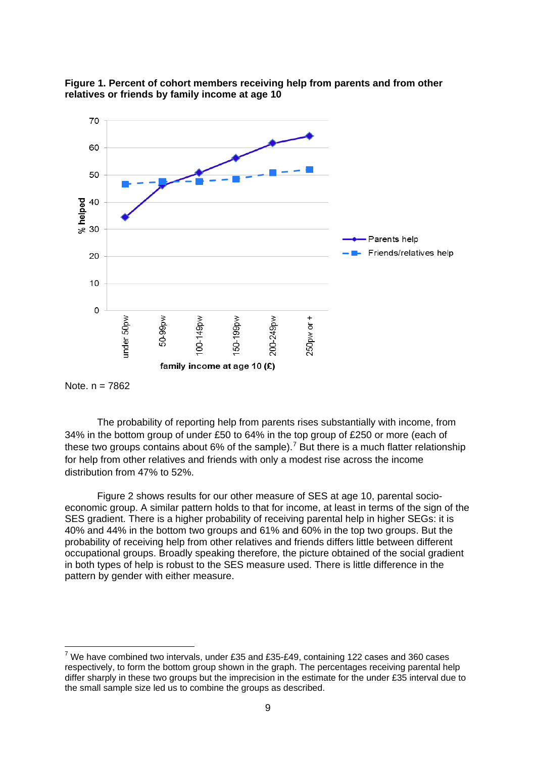



The probability of reporting help from parents rises substantially with income, from 34% in the bottom group of under £50 to 64% in the top group of £250 or more (each of these two groups contains about 6% of the sample).<sup>[7](#page-10-0)</sup> But there is a much flatter relationship for help from other relatives and friends with only a modest rise across the income distribution from 47% to 52%.

Figure 2 shows results for our other measure of SES at age 10, parental socioeconomic group. A similar pattern holds to that for income, at least in terms of the sign of the SES gradient. There is a higher probability of receiving parental help in higher SEGs: it is 40% and 44% in the bottom two groups and 61% and 60% in the top two groups. But the probability of receiving help from other relatives and friends differs little between different occupational groups. Broadly speaking therefore, the picture obtained of the social gradient in both types of help is robust to the SES measure used. There is little difference in the pattern by gender with either measure.

Note.  $n = 7862$ 

<span id="page-10-0"></span> $7$  We have combined two intervals, under £35 and £35-£49, containing 122 cases and 360 cases respectively, to form the bottom group shown in the graph. The percentages receiving parental help differ sharply in these two groups but the imprecision in the estimate for the under £35 interval due to the small sample size led us to combine the groups as described.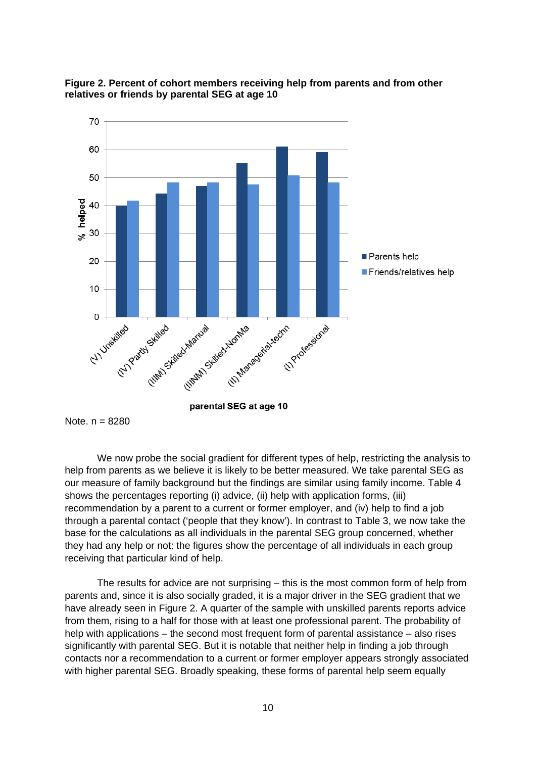

#### **Figure 2. Percent of cohort members receiving help from parents and from other relatives or friends by parental SEG at age 10**

Note. n = 8280

We now probe the social gradient for different types of help, restricting the analysis to help from parents as we believe it is likely to be better measured. We take parental SEG as our measure of family background but the findings are similar using family income. Table 4 shows the percentages reporting (i) advice, (ii) help with application forms, (iii) recommendation by a parent to a current or former employer, and (iv) help to find a job through a parental contact ('people that they know'). In contrast to Table 3, we now take the base for the calculations as all individuals in the parental SEG group concerned, whether they had any help or not: the figures show the percentage of all individuals in each group receiving that particular kind of help.

<span id="page-11-0"></span>The results for advice are not surprising – this is the most common form of help from parents and, since it is also socially graded, it is a major driver in the SEG gradient that we have already seen in Figure 2. A quarter of the sample with unskilled parents reports advice from them, rising to a half for those with at least one professional parent. The probability of help with applications – the second most frequent form of parental assistance – also rises significantly with parental SEG. But it is notable that neither help in finding a job through contacts nor a recommendation to a current or former employer appears strongly associated with higher parental SEG. Broadly speaking, these forms of parental help seem equally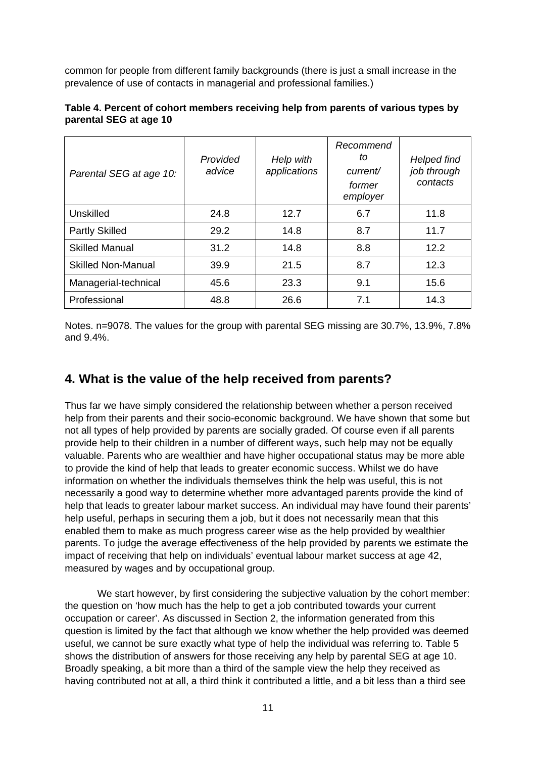common for people from different family backgrounds (there is just a small increase in the prevalence of use of contacts in managerial and professional families.)

|                        |  | Table 4. Percent of cohort members receiving help from parents of various types by |  |  |  |
|------------------------|--|------------------------------------------------------------------------------------|--|--|--|
| parental SEG at age 10 |  |                                                                                    |  |  |  |
|                        |  |                                                                                    |  |  |  |

| Parental SEG at age 10:   | Provided<br>advice | Help with<br>applications | Recommend<br>to<br>current/<br>former<br>employer | <b>Helped find</b><br>job through<br>contacts |
|---------------------------|--------------------|---------------------------|---------------------------------------------------|-----------------------------------------------|
| Unskilled                 | 24.8               | 12.7                      | 6.7                                               | 11.8                                          |
| <b>Partly Skilled</b>     | 29.2               | 14.8                      | 8.7                                               | 11.7                                          |
| <b>Skilled Manual</b>     | 31.2               | 14.8                      | 8.8                                               | 12.2                                          |
| <b>Skilled Non-Manual</b> | 39.9               | 21.5                      | 8.7                                               | 12.3                                          |
| Managerial-technical      | 45.6               | 23.3                      | 9.1                                               | 15.6                                          |
| Professional              | 48.8               | 26.6                      | 7.1                                               | 14.3                                          |

Notes. n=9078. The values for the group with parental SEG missing are 30.7%, 13.9%, 7.8% and 9.4%.

# **4. What is the value of the help received from parents?**

Thus far we have simply considered the relationship between whether a person received help from their parents and their socio-economic background. We have shown that some but not all types of help provided by parents are socially graded. Of course even if all parents provide help to their children in a number of different ways, such help may not be equally valuable. Parents who are wealthier and have higher occupational status may be more able to provide the kind of help that leads to greater economic success. Whilst we do have information on whether the individuals themselves think the help was useful, this is not necessarily a good way to determine whether more advantaged parents provide the kind of help that leads to greater labour market success. An individual may have found their parents' help useful, perhaps in securing them a job, but it does not necessarily mean that this enabled them to make as much progress career wise as the help provided by wealthier parents. To judge the average effectiveness of the help provided by parents we estimate the impact of receiving that help on individuals' eventual labour market success at age 42, measured by wages and by occupational group.

We start however, by first considering the subjective valuation by the cohort member: the question on 'how much has the help to get a job contributed towards your current occupation or career'. As discussed in Section 2, the information generated from this question is limited by the fact that although we know whether the help provided was deemed useful, we cannot be sure exactly what type of help the individual was referring to. Table 5 shows the distribution of answers for those receiving any help by parental SEG at age 10. Broadly speaking, a bit more than a third of the sample view the help they received as having contributed not at all, a third think it contributed a little, and a bit less than a third see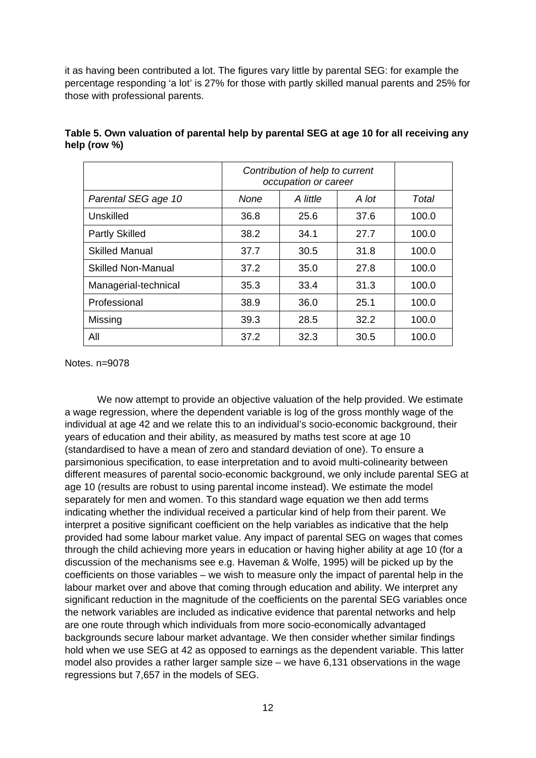it as having been contributed a lot. The figures vary little by parental SEG: for example the percentage responding 'a lot' is 27% for those with partly skilled manual parents and 25% for those with professional parents.

|                           | Contribution of help to current<br>occupation or career |       |      |       |
|---------------------------|---------------------------------------------------------|-------|------|-------|
| Parental SEG age 10       | None                                                    | Total |      |       |
| Unskilled                 | 36.8                                                    | 25.6  | 37.6 | 100.0 |
| <b>Partly Skilled</b>     | 38.2                                                    | 34.1  | 27.7 | 100.0 |
| <b>Skilled Manual</b>     | 37.7                                                    | 30.5  | 31.8 | 100.0 |
| <b>Skilled Non-Manual</b> | 37.2                                                    | 35.0  | 27.8 | 100.0 |
| Managerial-technical      | 35.3                                                    | 33.4  | 31.3 | 100.0 |
| Professional              | 38.9                                                    | 36.0  | 25.1 | 100.0 |
| Missing                   | 39.3                                                    | 28.5  | 32.2 | 100.0 |
| All                       | 37.2                                                    | 32.3  | 30.5 | 100.0 |

**Table 5. Own valuation of parental help by parental SEG at age 10 for all receiving any help (row %)**

Notes. n=9078

We now attempt to provide an objective valuation of the help provided. We estimate a wage regression, where the dependent variable is log of the gross monthly wage of the individual at age 42 and we relate this to an individual's socio-economic background, their years of education and their ability, as measured by maths test score at age 10 (standardised to have a mean of zero and standard deviation of one). To ensure a parsimonious specification, to ease interpretation and to avoid multi-colinearity between different measures of parental socio-economic background, we only include parental SEG at age 10 (results are robust to using parental income instead). We estimate the model separately for men and women. To this standard wage equation we then add terms indicating whether the individual received a particular kind of help from their parent. We interpret a positive significant coefficient on the help variables as indicative that the help provided had some labour market value. Any impact of parental SEG on wages that comes through the child achieving more years in education or having higher ability at age 10 (for a discussion of the mechanisms see e.g. Haveman & Wolfe, 1995) will be picked up by the coefficients on those variables – we wish to measure only the impact of parental help in the labour market over and above that coming through education and ability. We interpret any significant reduction in the magnitude of the coefficients on the parental SEG variables once the network variables are included as indicative evidence that parental networks and help are one route through which individuals from more socio-economically advantaged backgrounds secure labour market advantage. We then consider whether similar findings hold when we use SEG at 42 as opposed to earnings as the dependent variable. This latter model also provides a rather larger sample size – we have 6,131 observations in the wage regressions but 7,657 in the models of SEG.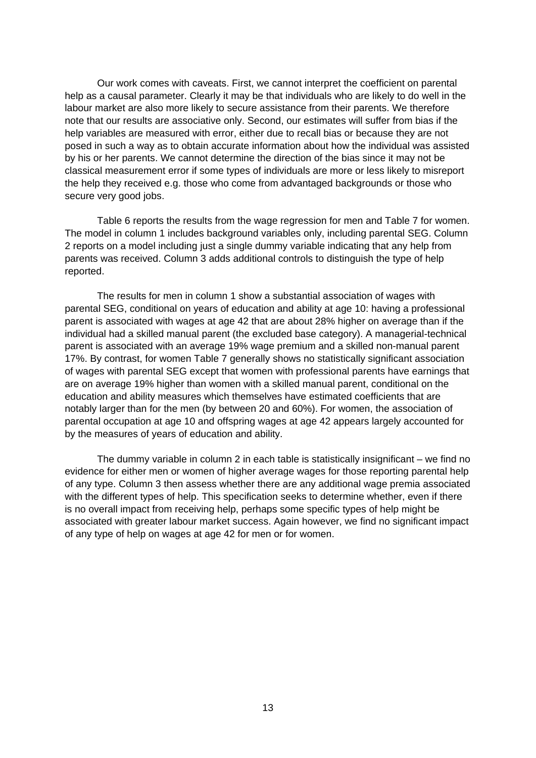Our work comes with caveats. First, we cannot interpret the coefficient on parental help as a causal parameter. Clearly it may be that individuals who are likely to do well in the labour market are also more likely to secure assistance from their parents. We therefore note that our results are associative only. Second, our estimates will suffer from bias if the help variables are measured with error, either due to recall bias or because they are not posed in such a way as to obtain accurate information about how the individual was assisted by his or her parents. We cannot determine the direction of the bias since it may not be classical measurement error if some types of individuals are more or less likely to misreport the help they received e.g. those who come from advantaged backgrounds or those who secure very good jobs.

Table 6 reports the results from the wage regression for men and Table 7 for women. The model in column 1 includes background variables only, including parental SEG. Column 2 reports on a model including just a single dummy variable indicating that any help from parents was received. Column 3 adds additional controls to distinguish the type of help reported.

The results for men in column 1 show a substantial association of wages with parental SEG, conditional on years of education and ability at age 10: having a professional parent is associated with wages at age 42 that are about 28% higher on average than if the individual had a skilled manual parent (the excluded base category). A managerial-technical parent is associated with an average 19% wage premium and a skilled non-manual parent 17%. By contrast, for women Table 7 generally shows no statistically significant association of wages with parental SEG except that women with professional parents have earnings that are on average 19% higher than women with a skilled manual parent, conditional on the education and ability measures which themselves have estimated coefficients that are notably larger than for the men (by between 20 and 60%). For women, the association of parental occupation at age 10 and offspring wages at age 42 appears largely accounted for by the measures of years of education and ability.

The dummy variable in column 2 in each table is statistically insignificant – we find no evidence for either men or women of higher average wages for those reporting parental help of any type. Column 3 then assess whether there are any additional wage premia associated with the different types of help. This specification seeks to determine whether, even if there is no overall impact from receiving help, perhaps some specific types of help might be associated with greater labour market success. Again however, we find no significant impact of any type of help on wages at age 42 for men or for women.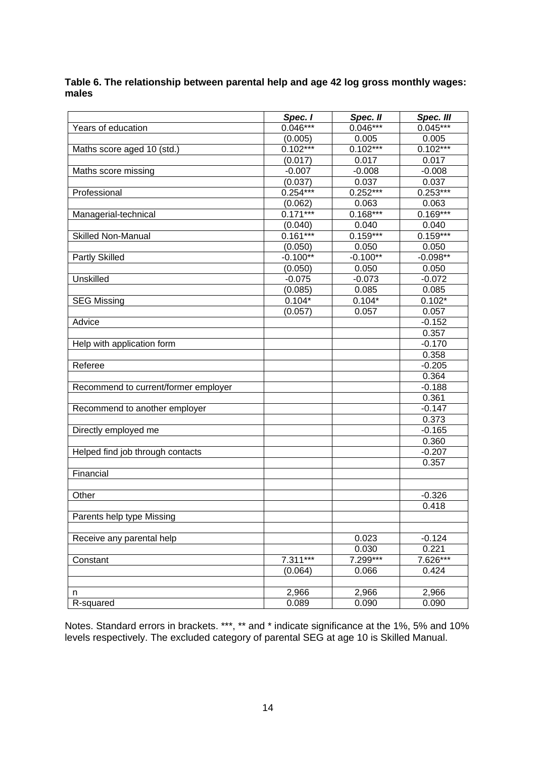**Table 6. The relationship between parental help and age 42 log gross monthly wages: males**

|                                      | Spec. I    | Spec. II       | Spec. III         |
|--------------------------------------|------------|----------------|-------------------|
| Years of education                   | $0.046***$ | $0.046***$     | $0.045***$        |
|                                      | (0.005)    | 0.005          | 0.005             |
| Maths score aged 10 (std.)           | $0.102***$ | $0.102***$     | $0.102***$        |
|                                      | (0.017)    | 0.017          | 0.017             |
| Maths score missing                  | $-0.007$   | $-0.008$       | $-0.008$          |
|                                      | (0.037)    | 0.037          | 0.037             |
| Professional                         | $0.254***$ | $0.252***$     | $0.253***$        |
|                                      | (0.062)    | 0.063          | 0.063             |
| Managerial-technical                 | $0.171***$ | $0.168***$     | $0.169***$        |
|                                      | (0.040)    | 0.040          | 0.040             |
| <b>Skilled Non-Manual</b>            | $0.161***$ | $0.159***$     | $0.159***$        |
|                                      | (0.050)    | 0.050          | 0.050             |
| <b>Partly Skilled</b>                | $-0.100**$ | $-0.100**$     | $-0.098**$        |
|                                      | (0.050)    | 0.050          | 0.050             |
| Unskilled                            | $-0.075$   | $-0.073$       | $-0.072$          |
|                                      | (0.085)    | 0.085          | 0.085             |
| <b>SEG Missing</b>                   | $0.104*$   | $0.104*$       | $0.102*$          |
|                                      | (0.057)    | 0.057          | 0.057             |
| Advice                               |            |                | $-0.152$          |
|                                      |            |                | 0.357             |
| Help with application form           |            |                | $-0.170$          |
|                                      |            |                | 0.358             |
| Referee                              |            |                | $-0.205$          |
|                                      |            |                | 0.364             |
| Recommend to current/former employer |            |                | $-0.188$          |
|                                      |            |                | 0.361             |
| Recommend to another employer        |            |                | $-0.147$          |
|                                      |            |                | 0.373             |
| Directly employed me                 |            |                | $-0.165$          |
|                                      |            |                | 0.360             |
| Helped find job through contacts     |            |                | $-0.207$          |
|                                      |            |                | 0.357             |
| Financial                            |            |                |                   |
|                                      |            |                |                   |
| Other                                |            |                | $-0.326$          |
|                                      |            |                | 0.418             |
| Parents help type Missing            |            |                |                   |
|                                      |            |                |                   |
| Receive any parental help            |            | 0.023<br>0.030 | $-0.124$<br>0.221 |
| Constant                             | $7.311***$ | 7.299***       | 7.626***          |
|                                      |            |                |                   |
|                                      | (0.064)    | 0.066          | 0.424             |
|                                      | 2,966      | 2,966          | 2,966             |
| n                                    |            |                |                   |
| R-squared                            | 0.089      | 0.090          | 0.090             |

Notes. Standard errors in brackets. \*\*\*, \*\* and \* indicate significance at the 1%, 5% and 10% levels respectively. The excluded category of parental SEG at age 10 is Skilled Manual.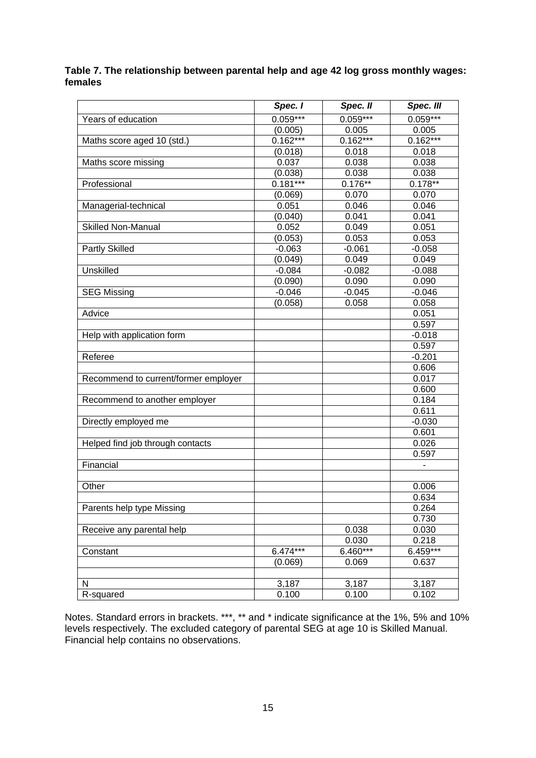#### **Table 7. The relationship between parental help and age 42 log gross monthly wages: females**

|                                      | Spec. I    | Spec. II   | Spec. III  |
|--------------------------------------|------------|------------|------------|
| Years of education                   | $0.059***$ | $0.059***$ | $0.059***$ |
|                                      | (0.005)    | 0.005      | 0.005      |
| Maths score aged 10 (std.)           | $0.162***$ | $0.162***$ | $0.162***$ |
|                                      | (0.018)    | 0.018      | 0.018      |
| Maths score missing                  | 0.037      | 0.038      | 0.038      |
|                                      | (0.038)    | 0.038      | 0.038      |
| Professional                         | $0.181***$ | $0.176**$  | $0.178**$  |
|                                      | (0.069)    | 0.070      | 0.070      |
| Managerial-technical                 | 0.051      | 0.046      | 0.046      |
|                                      | (0.040)    | 0.041      | 0.041      |
| <b>Skilled Non-Manual</b>            | 0.052      | 0.049      | 0.051      |
|                                      | (0.053)    | 0.053      | 0.053      |
| Partly Skilled                       | $-0.063$   | $-0.061$   | $-0.058$   |
|                                      | (0.049)    | 0.049      | 0.049      |
| Unskilled                            | $-0.084$   | $-0.082$   | $-0.088$   |
|                                      | (0.090)    | 0.090      | 0.090      |
| <b>SEG Missing</b>                   | $-0.046$   | $-0.045$   | $-0.046$   |
|                                      | (0.058)    | 0.058      | 0.058      |
| Advice                               |            |            | 0.051      |
|                                      |            |            | 0.597      |
| Help with application form           |            |            | $-0.018$   |
|                                      |            |            | 0.597      |
| Referee                              |            |            | $-0.201$   |
|                                      |            |            | 0.606      |
| Recommend to current/former employer |            |            | 0.017      |
|                                      |            |            | 0.600      |
| Recommend to another employer        |            |            | 0.184      |
|                                      |            |            | 0.611      |
| Directly employed me                 |            |            | $-0.030$   |
|                                      |            |            | 0.601      |
| Helped find job through contacts     |            |            | 0.026      |
|                                      |            |            | 0.597      |
| Financial                            |            |            |            |
|                                      |            |            |            |
| Other                                |            |            | 0.006      |
|                                      |            |            | 0.634      |
| Parents help type Missing            |            |            | 0.264      |
|                                      |            |            | 0.730      |
| Receive any parental help            |            | 0.038      | 0.030      |
|                                      |            | 0.030      | 0.218      |
| Constant                             | $6.474***$ | 6.460***   | 6.459***   |
|                                      | (0.069)    | 0.069      | 0.637      |
|                                      |            |            |            |
| N                                    | 3,187      | 3,187      | 3,187      |
| R-squared                            | 0.100      | 0.100      | 0.102      |

Notes. Standard errors in brackets. \*\*\*, \*\* and \* indicate significance at the 1%, 5% and 10% levels respectively. The excluded category of parental SEG at age 10 is Skilled Manual. Financial help contains no observations.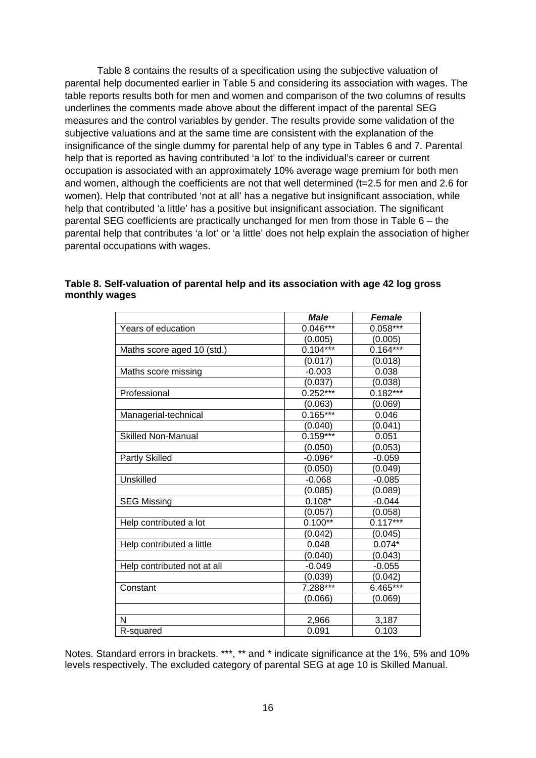Table 8 contains the results of a specification using the subjective valuation of parental help documented earlier in Table 5 and considering its association with wages. The table reports results both for men and women and comparison of the two columns of results underlines the comments made above about the different impact of the parental SEG measures and the control variables by gender. The results provide some validation of the subjective valuations and at the same time are consistent with the explanation of the insignificance of the single dummy for parental help of any type in Tables 6 and 7. Parental help that is reported as having contributed 'a lot' to the individual's career or current occupation is associated with an approximately 10% average wage premium for both men and women, although the coefficients are not that well determined (t=2.5 for men and 2.6 for women). Help that contributed 'not at all' has a negative but insignificant association, while help that contributed 'a little' has a positive but insignificant association. The significant parental SEG coefficients are practically unchanged for men from those in Table 6 – the parental help that contributes 'a lot' or 'a little' does not help explain the association of higher parental occupations with wages.

|                             | Male       | <b>Female</b> |
|-----------------------------|------------|---------------|
| Years of education          | $0.046***$ | $0.058***$    |
|                             | (0.005)    | (0.005)       |
| Maths score aged 10 (std.)  | $0.104***$ | $0.164***$    |
|                             | (0.017)    | (0.018)       |
| Maths score missing         | $-0.003$   | 0.038         |
|                             | (0.037)    | (0.038)       |
| Professional                | $0.252***$ | $0.182***$    |
|                             | (0.063)    | (0.069)       |
| Managerial-technical        | $0.165***$ | 0.046         |
|                             | (0.040)    | (0.041)       |
| <b>Skilled Non-Manual</b>   | $0.159***$ | 0.051         |
|                             | (0.050)    | (0.053)       |
| Partly Skilled              | $-0.096*$  | $-0.059$      |
|                             | (0.050)    | (0.049)       |
| Unskilled                   | $-0.068$   | $-0.085$      |
|                             | (0.085)    | (0.089)       |
| <b>SEG Missing</b>          | $0.108*$   | $-0.044$      |
|                             | (0.057)    | (0.058)       |
| Help contributed a lot      | $0.100**$  | $0.117***$    |
|                             | (0.042)    | (0.045)       |
| Help contributed a little   | 0.048      | $0.074*$      |
|                             | (0.040)    | (0.043)       |
| Help contributed not at all | $-0.049$   | $-0.055$      |
|                             | (0.039)    | (0.042)       |
| Constant                    | $7.288***$ | 6.465***      |
|                             | (0.066)    | (0.069)       |
|                             |            |               |
| N                           | 2,966      | 3,187         |
| R-squared                   | 0.091      | 0.103         |

#### **Table 8. Self-valuation of parental help and its association with age 42 log gross monthly wages**

Notes. Standard errors in brackets. \*\*\*, \*\* and \* indicate significance at the 1%, 5% and 10% levels respectively. The excluded category of parental SEG at age 10 is Skilled Manual.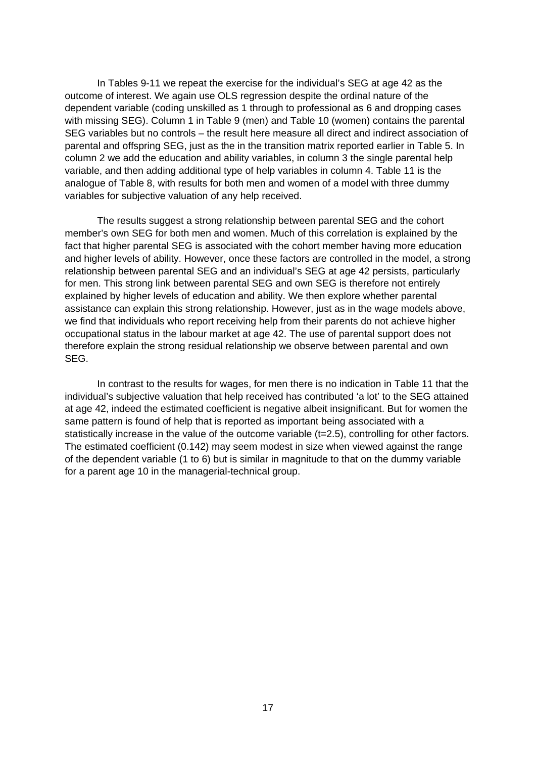In Tables 9-11 we repeat the exercise for the individual's SEG at age 42 as the outcome of interest. We again use OLS regression despite the ordinal nature of the dependent variable (coding unskilled as 1 through to professional as 6 and dropping cases with missing SEG). Column 1 in Table 9 (men) and Table 10 (women) contains the parental SEG variables but no controls – the result here measure all direct and indirect association of parental and offspring SEG, just as the in the transition matrix reported earlier in Table 5. In column 2 we add the education and ability variables, in column 3 the single parental help variable, and then adding additional type of help variables in column 4. Table 11 is the analogue of Table 8, with results for both men and women of a model with three dummy variables for subjective valuation of any help received.

The results suggest a strong relationship between parental SEG and the cohort member's own SEG for both men and women. Much of this correlation is explained by the fact that higher parental SEG is associated with the cohort member having more education and higher levels of ability. However, once these factors are controlled in the model, a strong relationship between parental SEG and an individual's SEG at age 42 persists, particularly for men. This strong link between parental SEG and own SEG is therefore not entirely explained by higher levels of education and ability. We then explore whether parental assistance can explain this strong relationship. However, just as in the wage models above, we find that individuals who report receiving help from their parents do not achieve higher occupational status in the labour market at age 42. The use of parental support does not therefore explain the strong residual relationship we observe between parental and own SEG.

In contrast to the results for wages, for men there is no indication in Table 11 that the individual's subjective valuation that help received has contributed 'a lot' to the SEG attained at age 42, indeed the estimated coefficient is negative albeit insignificant. But for women the same pattern is found of help that is reported as important being associated with a statistically increase in the value of the outcome variable (t=2.5), controlling for other factors. The estimated coefficient (0.142) may seem modest in size when viewed against the range of the dependent variable (1 to 6) but is similar in magnitude to that on the dummy variable for a parent age 10 in the managerial-technical group.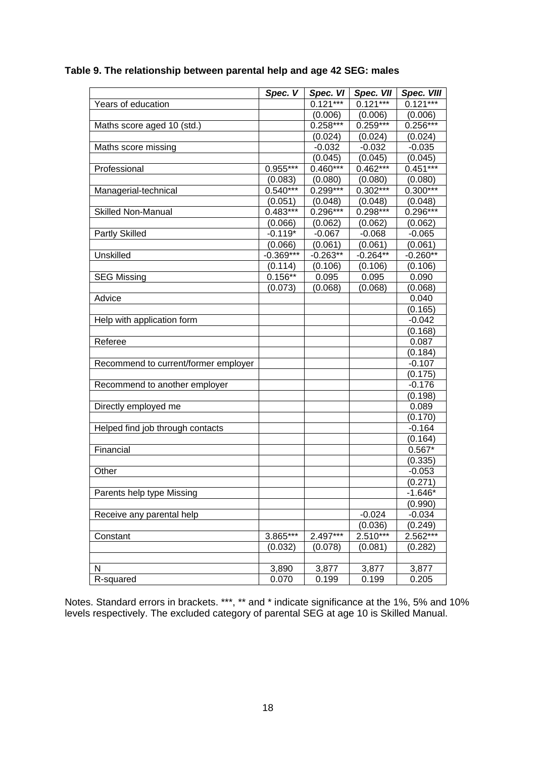|                                      | Spec. V     | Spec. VI   | Spec. VII  | Spec. VIII |
|--------------------------------------|-------------|------------|------------|------------|
| Years of education                   |             | $0.121***$ | $0.121***$ | $0.121***$ |
|                                      |             | (0.006)    | (0.006)    | (0.006)    |
| Maths score aged 10 (std.)           |             | $0.258***$ | $0.259***$ | $0.256***$ |
|                                      |             | (0.024)    | (0.024)    | (0.024)    |
| Maths score missing                  |             | $-0.032$   | $-0.032$   | $-0.035$   |
|                                      |             | (0.045)    | (0.045)    | (0.045)    |
| Professional                         | 0.955***    | $0.460***$ | $0.462***$ | $0.451***$ |
|                                      | (0.083)     | (0.080)    | (0.080)    | (0.080)    |
| Managerial-technical                 | $0.540***$  | $0.299***$ | $0.302***$ | $0.300***$ |
|                                      | (0.051)     | (0.048)    | (0.048)    | (0.048)    |
| <b>Skilled Non-Manual</b>            | $0.483***$  | 0.296***   | $0.298***$ | 0.296***   |
|                                      | (0.066)     | (0.062)    | (0.062)    | (0.062)    |
| <b>Partly Skilled</b>                | $-0.119*$   | $-0.067$   | $-0.068$   | $-0.065$   |
|                                      | (0.066)     | (0.061)    | (0.061)    | (0.061)    |
| Unskilled                            | $-0.369***$ | $-0.263**$ | $-0.264**$ | $-0.260**$ |
|                                      | (0.114)     | (0.106)    | (0.106)    | (0.106)    |
| <b>SEG Missing</b>                   | $0.156**$   | 0.095      | 0.095      | 0.090      |
|                                      | (0.073)     | (0.068)    | (0.068)    | (0.068)    |
| Advice                               |             |            |            | 0.040      |
|                                      |             |            |            | (0.165)    |
| Help with application form           |             |            |            | $-0.042$   |
|                                      |             |            |            | (0.168)    |
| Referee                              |             |            |            | 0.087      |
|                                      |             |            |            | (0.184)    |
| Recommend to current/former employer |             |            |            | $-0.107$   |
|                                      |             |            |            | (0.175)    |
| Recommend to another employer        |             |            |            | $-0.176$   |
|                                      |             |            |            | (0.198)    |
| Directly employed me                 |             |            |            | 0.089      |
|                                      |             |            |            | (0.170)    |
| Helped find job through contacts     |             |            |            | $-0.164$   |
|                                      |             |            |            | (0.164)    |
| Financial                            |             |            |            | $0.567*$   |
|                                      |             |            |            | (0.335)    |
| Other                                |             |            |            | $-0.053$   |
|                                      |             |            |            | (0.271)    |
| Parents help type Missing            |             |            |            | $-1.646*$  |
|                                      |             |            |            | (0.990)    |
| Receive any parental help            |             |            | $-0.024$   | $-0.034$   |
|                                      |             |            | (0.036)    | (0.249)    |
| Constant                             | 3.865***    | 2.497***   | 2.510***   | $2.562***$ |
|                                      | (0.032)     | (0.078)    | (0.081)    | (0.282)    |
|                                      |             |            |            |            |
| N                                    | 3,890       | 3,877      | 3,877      | 3,877      |
| R-squared                            | 0.070       | 0.199      | 0.199      | 0.205      |

### **Table 9. The relationship between parental help and age 42 SEG: males**

Notes. Standard errors in brackets. \*\*\*, \*\* and \* indicate significance at the 1%, 5% and 10% levels respectively. The excluded category of parental SEG at age 10 is Skilled Manual.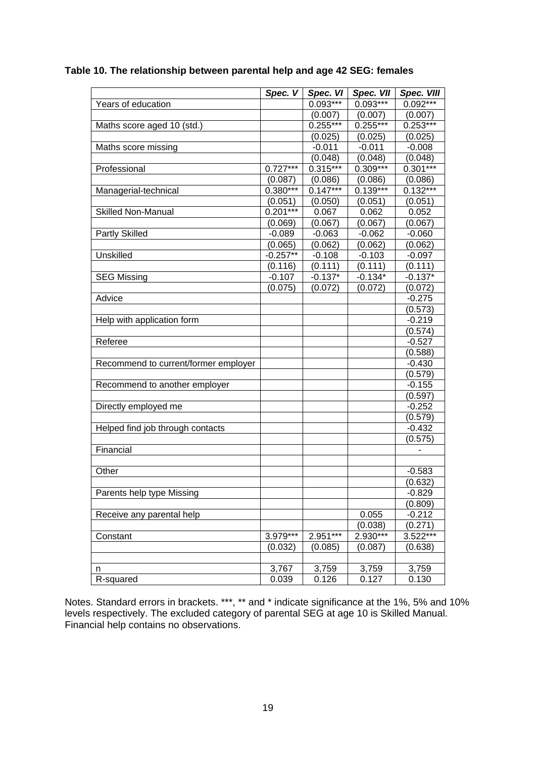|  | Table 10. The relationship between parental help and age 42 SEG: females |
|--|--------------------------------------------------------------------------|
|--|--------------------------------------------------------------------------|

|                                      | Spec. V    | Spec. VI   | Spec. VII  | <b>Spec. VIII</b> |
|--------------------------------------|------------|------------|------------|-------------------|
| Years of education                   |            | $0.093***$ | $0.093***$ | $0.092***$        |
|                                      |            | (0.007)    | (0.007)    | (0.007)           |
| Maths score aged 10 (std.)           |            | $0.255***$ | $0.255***$ | $0.253***$        |
|                                      |            | (0.025)    | (0.025)    | (0.025)           |
| Maths score missing                  |            | $-0.011$   | $-0.011$   | $-0.008$          |
|                                      |            | (0.048)    | (0.048)    | (0.048)           |
| Professional                         | $0.727***$ | $0.315***$ | $0.309***$ | $0.301***$        |
|                                      | (0.087)    | (0.086)    | (0.086)    | (0.086)           |
| Managerial-technical                 | $0.380***$ | $0.147***$ | $0.139***$ | $0.132***$        |
|                                      | (0.051)    | (0.050)    | (0.051)    | (0.051)           |
| <b>Skilled Non-Manual</b>            | $0.201***$ | 0.067      | 0.062      | 0.052             |
|                                      | (0.069)    | (0.067)    | (0.067)    | (0.067)           |
| <b>Partly Skilled</b>                | $-0.089$   | $-0.063$   | $-0.062$   | $-0.060$          |
|                                      | (0.065)    | (0.062)    | (0.062)    | (0.062)           |
| Unskilled                            | $-0.257**$ | $-0.108$   | $-0.103$   | $-0.097$          |
|                                      | (0.116)    | (0.111)    | (0.111)    | (0.111)           |
| <b>SEG Missing</b>                   | $-0.107$   | $-0.137*$  | $-0.134*$  | $-0.137*$         |
|                                      | (0.075)    | (0.072)    | (0.072)    | (0.072)           |
| Advice                               |            |            |            | $-0.275$          |
|                                      |            |            |            | (0.573)           |
| Help with application form           |            |            |            | $-0.219$          |
|                                      |            |            |            | (0.574)           |
| Referee                              |            |            |            | $-0.527$          |
|                                      |            |            |            | (0.588)           |
| Recommend to current/former employer |            |            |            | $-0.430$          |
|                                      |            |            |            | (0.579)           |
| Recommend to another employer        |            |            |            | $-0.155$          |
|                                      |            |            |            | (0.597)           |
| Directly employed me                 |            |            |            | $-0.252$          |
|                                      |            |            |            | (0.579)           |
| Helped find job through contacts     |            |            |            | $-0.432$          |
|                                      |            |            |            | (0.575)           |
| Financial                            |            |            |            |                   |
|                                      |            |            |            |                   |
| Other                                |            |            |            | $-0.583$          |
|                                      |            |            |            | (0.632)           |
| Parents help type Missing            |            |            |            | $-0.829$          |
|                                      |            |            |            | (0.809)           |
| Receive any parental help            |            |            | 0.055      | $-0.212$          |
|                                      |            |            | (0.038)    | (0.271)           |
| Constant                             | $3.979***$ | $2.951***$ | 2.930***   | $3.522***$        |
|                                      | (0.032)    | (0.085)    | (0.087)    | (0.638)           |
|                                      |            |            |            |                   |
| n                                    | 3,767      | 3,759      | 3,759      | 3,759             |
| R-squared                            | 0.039      | 0.126      | 0.127      | 0.130             |

Notes. Standard errors in brackets. \*\*\*, \*\* and \* indicate significance at the 1%, 5% and 10% levels respectively. The excluded category of parental SEG at age 10 is Skilled Manual. Financial help contains no observations.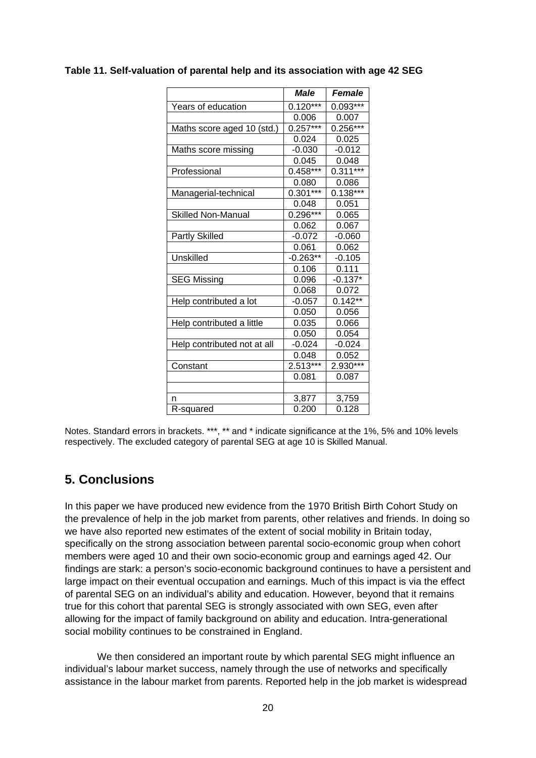|                             | Male       | <b>Female</b> |
|-----------------------------|------------|---------------|
| Years of education          | $0.120***$ | $0.093***$    |
|                             | 0.006      | 0.007         |
| Maths score aged 10 (std.)  | $0.257***$ | $0.256***$    |
|                             | 0.024      | 0.025         |
| Maths score missing         | $-0.030$   | $-0.012$      |
|                             | 0.045      | 0.048         |
| Professional                | $0.458***$ | $0.311***$    |
|                             | 0.080      | 0.086         |
| Managerial-technical        | $0.301***$ | $0.138***$    |
|                             | 0.048      | 0.051         |
| <b>Skilled Non-Manual</b>   | $0.296***$ | 0.065         |
|                             | 0.062      | 0.067         |
| <b>Partly Skilled</b>       | $-0.072$   | $-0.060$      |
|                             | 0.061      | 0.062         |
| Unskilled                   | $-0.263**$ | $-0.105$      |
|                             | 0.106      | 0.111         |
| <b>SEG Missing</b>          | 0.096      | $-0.137*$     |
|                             | 0.068      | 0.072         |
| Help contributed a lot      | $-0.057$   | $0.142**$     |
|                             | 0.050      | 0.056         |
| Help contributed a little   | 0.035      | 0.066         |
|                             | 0.050      | 0.054         |
| Help contributed not at all | $-0.024$   | $-0.024$      |
|                             | 0.048      | 0.052         |
| Constant                    | 2.513***   | 2.930***      |
|                             | 0.081      | 0.087         |
|                             |            |               |
| n                           | 3,877      | 3,759         |
| R-squared                   | 0.200      | 0.128         |

#### **Table 11. Self-valuation of parental help and its association with age 42 SEG**

Notes. Standard errors in brackets. \*\*\*, \*\* and \* indicate significance at the 1%, 5% and 10% levels respectively. The excluded category of parental SEG at age 10 is Skilled Manual.

## **5. Conclusions**

In this paper we have produced new evidence from the 1970 British Birth Cohort Study on the prevalence of help in the job market from parents, other relatives and friends. In doing so we have also reported new estimates of the extent of social mobility in Britain today, specifically on the strong association between parental socio-economic group when cohort members were aged 10 and their own socio-economic group and earnings aged 42. Our findings are stark: a person's socio-economic background continues to have a persistent and large impact on their eventual occupation and earnings. Much of this impact is via the effect of parental SEG on an individual's ability and education. However, beyond that it remains true for this cohort that parental SEG is strongly associated with own SEG, even after allowing for the impact of family background on ability and education. Intra-generational social mobility continues to be constrained in England.

We then considered an important route by which parental SEG might influence an individual's labour market success, namely through the use of networks and specifically assistance in the labour market from parents. Reported help in the job market is widespread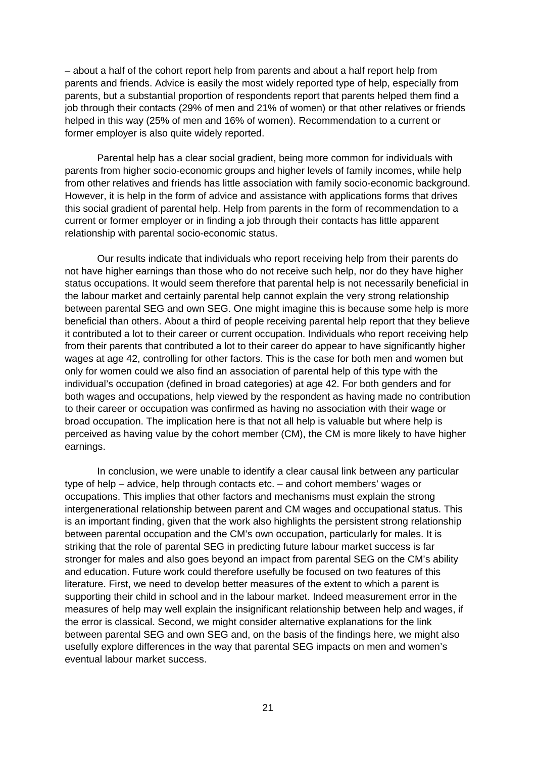– about a half of the cohort report help from parents and about a half report help from parents and friends. Advice is easily the most widely reported type of help, especially from parents, but a substantial proportion of respondents report that parents helped them find a job through their contacts (29% of men and 21% of women) or that other relatives or friends helped in this way (25% of men and 16% of women). Recommendation to a current or former employer is also quite widely reported.

Parental help has a clear social gradient, being more common for individuals with parents from higher socio-economic groups and higher levels of family incomes, while help from other relatives and friends has little association with family socio-economic background. However, it is help in the form of advice and assistance with applications forms that drives this social gradient of parental help. Help from parents in the form of recommendation to a current or former employer or in finding a job through their contacts has little apparent relationship with parental socio-economic status.

Our results indicate that individuals who report receiving help from their parents do not have higher earnings than those who do not receive such help, nor do they have higher status occupations. It would seem therefore that parental help is not necessarily beneficial in the labour market and certainly parental help cannot explain the very strong relationship between parental SEG and own SEG. One might imagine this is because some help is more beneficial than others. About a third of people receiving parental help report that they believe it contributed a lot to their career or current occupation. Individuals who report receiving help from their parents that contributed a lot to their career do appear to have significantly higher wages at age 42, controlling for other factors. This is the case for both men and women but only for women could we also find an association of parental help of this type with the individual's occupation (defined in broad categories) at age 42. For both genders and for both wages and occupations, help viewed by the respondent as having made no contribution to their career or occupation was confirmed as having no association with their wage or broad occupation. The implication here is that not all help is valuable but where help is perceived as having value by the cohort member (CM), the CM is more likely to have higher earnings.

In conclusion, we were unable to identify a clear causal link between any particular type of help – advice, help through contacts etc. – and cohort members' wages or occupations. This implies that other factors and mechanisms must explain the strong intergenerational relationship between parent and CM wages and occupational status. This is an important finding, given that the work also highlights the persistent strong relationship between parental occupation and the CM's own occupation, particularly for males. It is striking that the role of parental SEG in predicting future labour market success is far stronger for males and also goes beyond an impact from parental SEG on the CM's ability and education. Future work could therefore usefully be focused on two features of this literature. First, we need to develop better measures of the extent to which a parent is supporting their child in school and in the labour market. Indeed measurement error in the measures of help may well explain the insignificant relationship between help and wages, if the error is classical. Second, we might consider alternative explanations for the link between parental SEG and own SEG and, on the basis of the findings here, we might also usefully explore differences in the way that parental SEG impacts on men and women's eventual labour market success.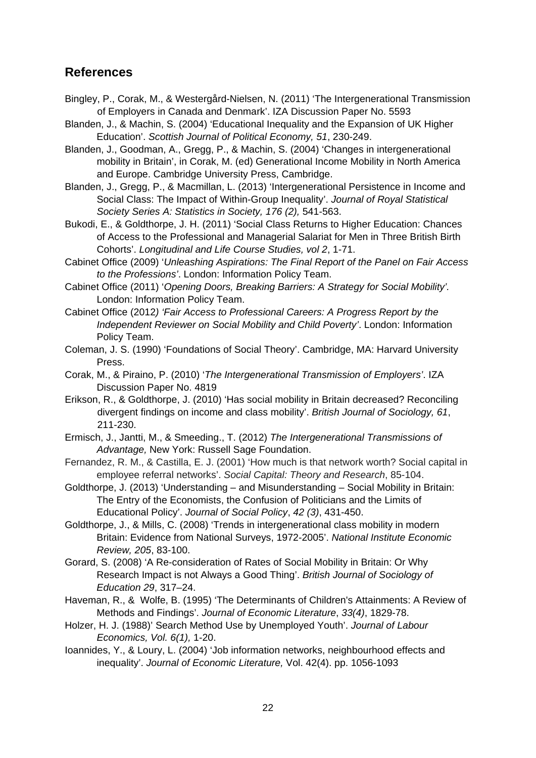# **References**

- Bingley, P., Corak, M., & Westergård-Nielsen, N. (2011) 'The Intergenerational Transmission of Employers in Canada and Denmark'. IZA Discussion Paper No. 5593
- Blanden, J., & Machin, S. (2004) 'Educational Inequality and the Expansion of UK Higher Education'. *Scottish Journal of Political Economy, 51*, 230-249.
- Blanden, J., Goodman, A., Gregg, P., & Machin, S. (2004) 'Changes in intergenerational mobility in Britain', in Corak, M. (ed) Generational Income Mobility in North America and Europe. Cambridge University Press, Cambridge.
- Blanden, J., Gregg, P., & Macmillan, L. (2013) 'Intergenerational Persistence in Income and Social Class: The Impact of Within-Group Inequality'. *Journal of Royal Statistical Society Series A: Statistics in Society, 176 (2),* 541-563.
- Bukodi, E., & Goldthorpe, J. H. (2011) 'Social Class Returns to Higher Education: Chances of Access to the Professional and Managerial Salariat for Men in Three British Birth Cohorts'. *Longitudinal and Life Course Studies, vol 2*, 1-71.
- Cabinet Office (2009) '*Unleashing Aspirations: The Final Report of the Panel on Fair Access to the Professions'*. London: Information Policy Team.
- Cabinet Office (2011) '*Opening Doors, Breaking Barriers: A Strategy for Social Mobility'.*  London: Information Policy Team.
- Cabinet Office (2012*) 'Fair Access to Professional Careers: A Progress Report by the Independent Reviewer on Social Mobility and Child Poverty'*. London: Information Policy Team.
- Coleman, J. S. (1990) 'Foundations of Social Theory'. Cambridge, MA: Harvard University Press.
- Corak, M., & Piraino, P. (2010) '*The Intergenerational Transmission of Employers'*. IZA Discussion Paper No. 4819
- Erikson, R., & Goldthorpe, J. (2010) 'Has social mobility in Britain decreased? Reconciling divergent findings on income and class mobility'. *British Journal of Sociology, 61*, 211-230.
- Ermisch, J., Jantti, M., & Smeeding., T. (2012) *The Intergenerational Transmissions of Advantage,* New York: Russell Sage Foundation.
- Fernandez, R. M., & Castilla, E. J. (2001) 'How much is that network worth? Social capital in employee referral networks'. *Social Capital: Theory and Research*, 85-104.
- Goldthorpe, J. (2013) 'Understanding and Misunderstanding Social Mobility in Britain: The Entry of the Economists, the Confusion of Politicians and the Limits of Educational Policy'. *Journal of Social Policy*, *42 (3)*, 431-450.
- Goldthorpe, J., & Mills, C. (2008) 'Trends in intergenerational class mobility in modern Britain: Evidence from National Surveys, 1972-2005'. *National Institute Economic Review, 205*, 83-100.
- Gorard, S. (2008) 'A Re-consideration of Rates of Social Mobility in Britain: Or Why Research Impact is not Always a Good Thing'. *British Journal of Sociology of Education 29*, 317–24.
- Haveman, R., & Wolfe, B. (1995) 'The Determinants of Children's Attainments: A Review of Methods and Findings'. *Journal of Economic Literature*, *33(4)*, 1829-78.
- Holzer, H. J. (1988)' Search Method Use by Unemployed Youth'. *Journal of Labour Economics, Vol. 6(1),* 1-20.
- Ioannides, Y., & Loury, L. (2004) 'Job information networks, neighbourhood effects and inequality'. *Journal of Economic Literature,* Vol. 42(4). pp. 1056-1093